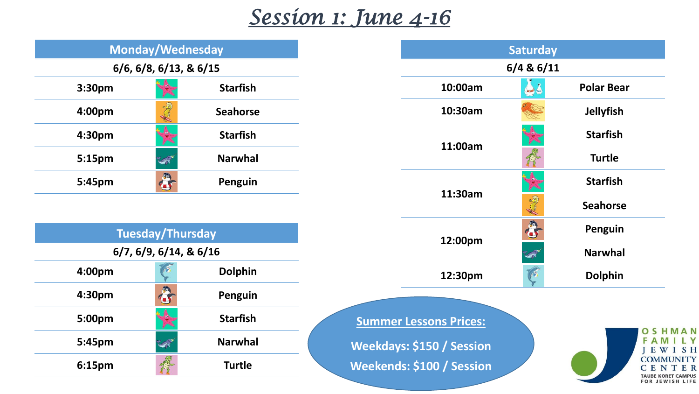## *Session 1: June 4-16*

| Monday/Wednesday                  |                 |  |                               | <b>Saturday</b> |                               |
|-----------------------------------|-----------------|--|-------------------------------|-----------------|-------------------------------|
| $6/6$ , $6/8$ , $6/13$ , & $6/15$ |                 |  | $6/4$ & $6/11$                |                 |                               |
| 3:30pm                            | <b>Starfish</b> |  | 10:00am                       | فيلي            | <b>Polar Bear</b>             |
| S<br>4:00pm                       | <b>Seahorse</b> |  | 10:30am                       |                 | <b>Jellyfish</b>              |
| 4:30pm                            | <b>Starfish</b> |  | 11:00am                       |                 | <b>Starfish</b>               |
| 5:15pm<br><b>SAR</b>              | <b>Narwhal</b>  |  |                               |                 | <b>Turtle</b>                 |
| $\bullet$<br>5:45pm               | Penguin         |  |                               |                 | <b>Starfish</b>               |
|                                   |                 |  | 11:30am                       | New             | <b>Seahorse</b>               |
| <b>Tuesday/Thursday</b>           |                 |  | 12:00pm                       | 8               | Penguin                       |
| 6/7, 6/9, 6/14, 8, 6/16           |                 |  |                               | <b>LOW THE</b>  | <b>Narwhal</b>                |
| 4:00pm                            | <b>Dolphin</b>  |  | 12:30pm                       | 145             | <b>Dolphin</b>                |
| $\bullet$<br>4:30pm               | Penguin         |  |                               |                 |                               |
| 5:00pm                            | <b>Starfish</b> |  | <b>Summer Lessons Prices:</b> |                 |                               |
| 5:45pm<br><b>SOFT</b>             | <b>Narwhal</b>  |  | Weekdays: \$150 / Session     |                 | <b>OSHMAN</b><br>F A<br>EWISH |
| 6:15pm                            | <b>Turtle</b>   |  | Weekends: \$100 / Session     |                 | <b>COMMUNITY</b>              |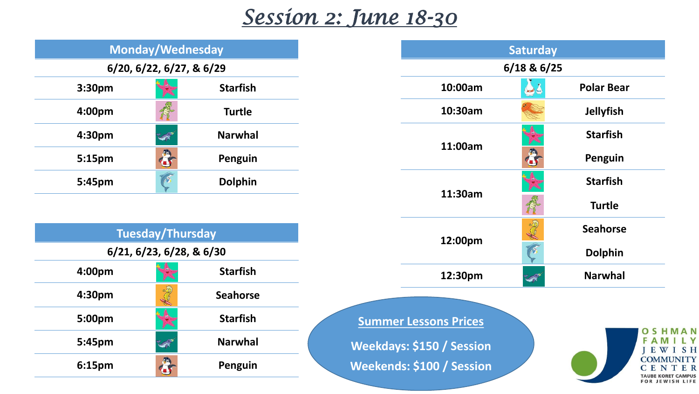## *Session 2: June 18-30*

| <b>Monday/Wednesday</b>  |                 |  |                              | <b>Saturday</b> |                   |
|--------------------------|-----------------|--|------------------------------|-----------------|-------------------|
| 6/20, 6/22, 6/27, & 6/29 |                 |  |                              | $6/18$ & $6/25$ |                   |
| 3:30pm                   | <b>Starfish</b> |  | 10:00am                      | فيلي            | <b>Polar Bear</b> |
| 4:00pm                   | <b>Turtle</b>   |  | 10:30am                      |                 | <b>Jellyfish</b>  |
| 4:30pm<br><b>CONT</b>    | <b>Narwhal</b>  |  | 11:00am                      |                 | <b>Starfish</b>   |
| $\bullet$<br>5:15pm      | Penguin         |  |                              | 8               | Penguin           |
| IAS<br>5:45pm            | <b>Dolphin</b>  |  | 11:30am                      |                 | <b>Starfish</b>   |
|                          |                 |  |                              | <b>R</b>        | <b>Turtle</b>     |
| <b>Tuesday/Thursday</b>  |                 |  |                              | ANY             | <b>Seahorse</b>   |
| 6/21, 6/23, 6/28, & 6/30 |                 |  | 12:00pm                      | $\sqrt{2}$      | <b>Dolphin</b>    |
| 4:00pm<br><b>IX</b>      | <b>Starfish</b> |  | 12:30pm                      | <b>LER"</b>     | <b>Narwhal</b>    |
| S<br>4:30pm              | <b>Seahorse</b> |  |                              |                 |                   |
| 5:00pm                   | <b>Starfish</b> |  | <b>Summer Lessons Prices</b> |                 |                   |
| 5:45pm<br><b>CONTROL</b> | <b>Narwhal</b>  |  | Weekdays: \$150 / Session    |                 | F A<br>EWISH      |
|                          |                 |  |                              |                 | <b>COMMUNITY</b>  |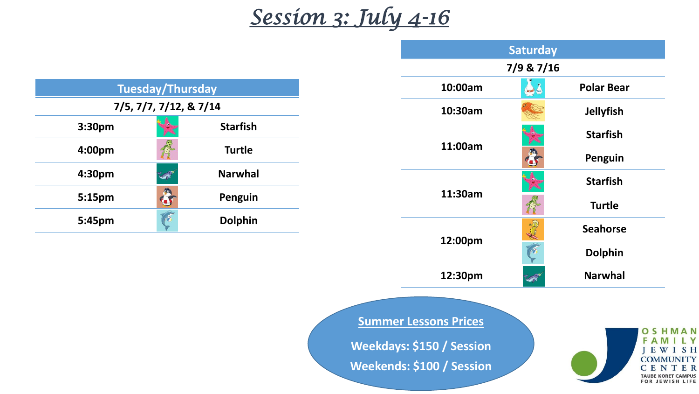## *Session 3: July 4-16*

|                           |                 |  | <b>Saturday</b><br>7/9 & 7/16                                                          |                |                                                                        |
|---------------------------|-----------------|--|----------------------------------------------------------------------------------------|----------------|------------------------------------------------------------------------|
| <b>Tuesday/Thursday</b>   |                 |  | 10:00am                                                                                | 23             | <b>Polar Bear</b>                                                      |
| 7/5, 7/7, 7/12, & 7/14    |                 |  | 10:30am                                                                                |                | <b>Jellyfish</b>                                                       |
| 3:30pm                    | <b>Starfish</b> |  | 11:00am<br>11:30am                                                                     |                | <b>Starfish</b>                                                        |
| 4:00pm                    | <b>Turtle</b>   |  |                                                                                        | 8              | Penguin                                                                |
| 4:30pm<br><b>SOFT</b>     | <b>Narwhal</b>  |  |                                                                                        |                | <b>Starfish</b>                                                        |
| $\ddot{\bm{c}}$<br>5:15pm | Penguin         |  |                                                                                        | 行              | <b>Turtle</b>                                                          |
| 15<br>5:45pm              | <b>Dolphin</b>  |  | 12:00pm                                                                                | K              | <b>Seahorse</b>                                                        |
|                           |                 |  |                                                                                        | C              | <b>Dolphin</b>                                                         |
|                           | 12:30pm         |  | R                                                                                      | <b>Narwhal</b> |                                                                        |
|                           |                 |  | <b>Summer Lessons Prices</b><br>Weekdays: \$150 / Session<br>Weekends: \$100 / Session |                | <b>OSHMAN</b><br>FAMILY<br><b>IEWISH</b><br><b>COMMUNITY</b><br>CENTER |